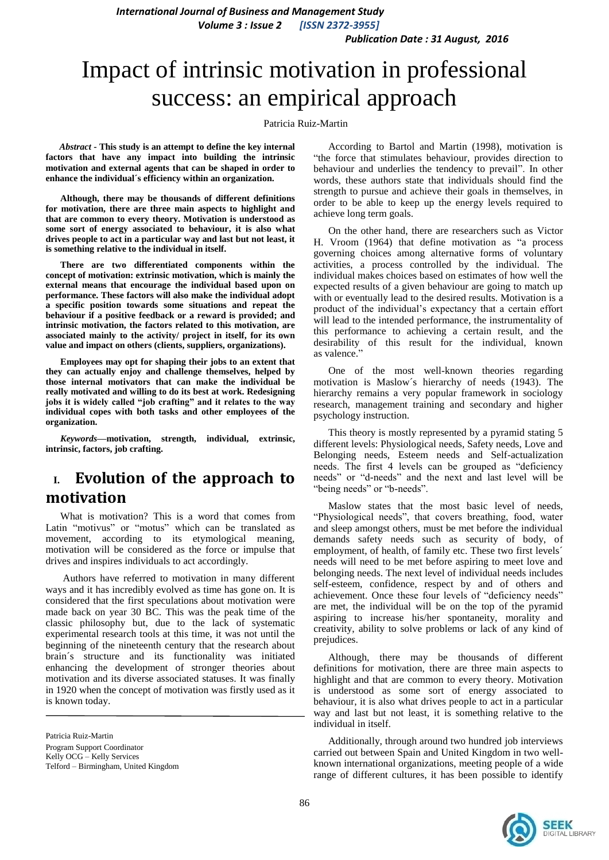*Publication Date : 31 August, 2016*

# Impact of intrinsic motivation in professional success: an empirical approach

Patricia Ruiz-Martin

*Abstract* **- This study is an attempt to define the key internal factors that have any impact into building the intrinsic motivation and external agents that can be shaped in order to enhance the individual´s efficiency within an organization.** 

**Although, there may be thousands of different definitions for motivation, there are three main aspects to highlight and that are common to every theory. Motivation is understood as some sort of energy associated to behaviour, it is also what drives people to act in a particular way and last but not least, it is something relative to the individual in itself.**

**There are two differentiated components within the concept of motivation: extrinsic motivation, which is mainly the external means that encourage the individual based upon on performance. These factors will also make the individual adopt a specific position towards some situations and repeat the behaviour if a positive feedback or a reward is provided; and intrinsic motivation, the factors related to this motivation, are associated mainly to the activity/ project in itself, for its own value and impact on others (clients, suppliers, organizations).**

**Employees may opt for shaping their jobs to an extent that they can actually enjoy and challenge themselves, helped by those internal motivators that can make the individual be really motivated and willing to do its best at work. Redesigning jobs it is widely called "job crafting" and it relates to the way individual copes with both tasks and other employees of the organization.**

*Keywords—***motivation, strength, individual, extrinsic, intrinsic, factors, job crafting.**

# **I. Evolution of the approach to motivation**

What is motivation? This is a word that comes from Latin "motivus" or "motus" which can be translated as movement, according to its etymological meaning, motivation will be considered as the force or impulse that drives and inspires individuals to act accordingly.

Authors have referred to motivation in many different ways and it has incredibly evolved as time has gone on. It is considered that the first speculations about motivation were made back on year 30 BC. This was the peak time of the classic philosophy but, due to the lack of systematic experimental research tools at this time, it was not until the beginning of the nineteenth century that the research about brain´s structure and its functionality was initiated enhancing the development of stronger theories about motivation and its diverse associated statuses. It was finally in 1920 when the concept of motivation was firstly used as it is known today.

According to Bartol and Martin (1998), motivation is "the force that stimulates behaviour, provides direction to behaviour and underlies the tendency to prevail". In other words, these authors state that individuals should find the strength to pursue and achieve their goals in themselves, in order to be able to keep up the energy levels required to achieve long term goals.

On the other hand, there are researchers such as Victor H. Vroom (1964) that define motivation as "a process governing choices among alternative forms of voluntary activities, a process controlled by the individual. The individual makes choices based on estimates of how well the expected results of a given behaviour are going to match up with or eventually lead to the desired results. Motivation is a product of the individual's expectancy that a certain effort will lead to the intended performance, the instrumentality of this performance to achieving a certain result, and the desirability of this result for the individual, known as valence."

One of the most well-known theories regarding motivation is Maslow´s hierarchy of needs (1943). The hierarchy remains a very popular framework in sociology research, management training and secondary and higher psychology instruction.

This theory is mostly represented by a pyramid stating 5 different levels: Physiological needs, Safety needs, Love and Belonging needs, Esteem needs and Self-actualization needs. The first 4 levels can be grouped as "deficiency needs" or "d-needs" and the next and last level will be "being needs" or "b-needs".

Maslow states that the most basic level of needs, "Physiological needs", that covers breathing, food, water and sleep amongst others, must be met before the individual demands safety needs such as security of body, of employment, of health, of family etc. These two first levels<sup>'</sup> needs will need to be met before aspiring to meet love and belonging needs. The next level of individual needs includes self-esteem, confidence, respect by and of others and achievement. Once these four levels of "deficiency needs" are met, the individual will be on the top of the pyramid aspiring to increase his/her spontaneity, morality and creativity, ability to solve problems or lack of any kind of prejudices.

Although, there may be thousands of different definitions for motivation, there are three main aspects to highlight and that are common to every theory. Motivation is understood as some sort of energy associated to behaviour, it is also what drives people to act in a particular way and last but not least, it is something relative to the individual in itself.

Additionally, through around two hundred job interviews carried out between Spain and United Kingdom in two wellknown international organizations, meeting people of a wide range of different cultures, it has been possible to identify



Patricia Ruiz-Martin Program Support Coordinator Kelly OCG – Kelly Services Telford – Birmingham, United Kingdom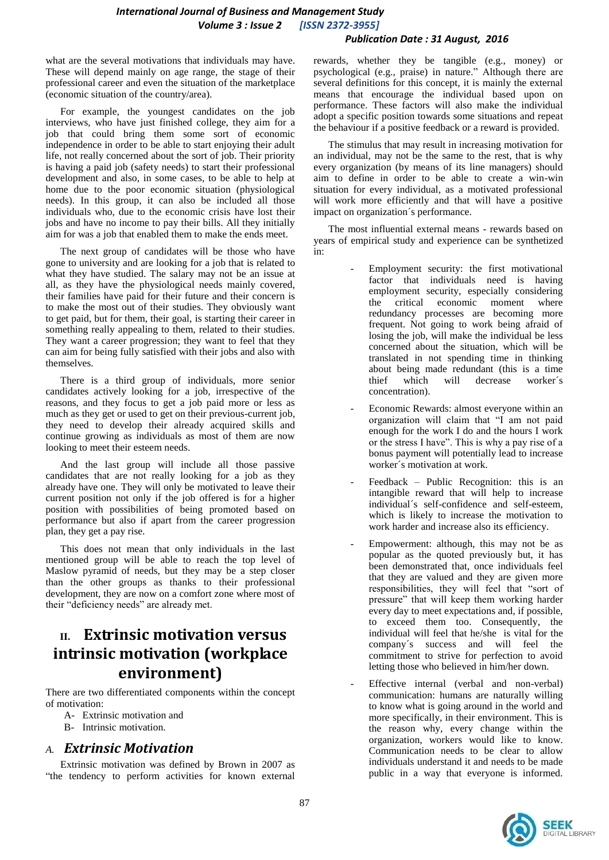#### *Publication Date : 31 August, 2016*

what are the several motivations that individuals may have. These will depend mainly on age range, the stage of their professional career and even the situation of the marketplace (economic situation of the country/area).

For example, the youngest candidates on the job interviews, who have just finished college, they aim for a job that could bring them some sort of economic independence in order to be able to start enjoying their adult life, not really concerned about the sort of job. Their priority is having a paid job (safety needs) to start their professional development and also, in some cases, to be able to help at home due to the poor economic situation (physiological needs). In this group, it can also be included all those individuals who, due to the economic crisis have lost their jobs and have no income to pay their bills. All they initially aim for was a job that enabled them to make the ends meet.

The next group of candidates will be those who have gone to university and are looking for a job that is related to what they have studied. The salary may not be an issue at all, as they have the physiological needs mainly covered, their families have paid for their future and their concern is to make the most out of their studies. They obviously want to get paid, but for them, their goal, is starting their career in something really appealing to them, related to their studies. They want a career progression; they want to feel that they can aim for being fully satisfied with their jobs and also with themselves.

There is a third group of individuals, more senior candidates actively looking for a job, irrespective of the reasons, and they focus to get a job paid more or less as much as they get or used to get on their previous-current job, they need to develop their already acquired skills and continue growing as individuals as most of them are now looking to meet their esteem needs.

And the last group will include all those passive candidates that are not really looking for a job as they already have one. They will only be motivated to leave their current position not only if the job offered is for a higher position with possibilities of being promoted based on performance but also if apart from the career progression plan, they get a pay rise.

This does not mean that only individuals in the last mentioned group will be able to reach the top level of Maslow pyramid of needs, but they may be a step closer than the other groups as thanks to their professional development, they are now on a comfort zone where most of their "deficiency needs" are already met.

# **II. Extrinsic motivation versus intrinsic motivation (workplace environment)**

There are two differentiated components within the concept of motivation:

- A- Extrinsic motivation and
- B- Intrinsic motivation.

### *A. Extrinsic Motivation*

Extrinsic motivation was defined by Brown in 2007 as "the tendency to perform activities for known external

rewards, whether they be tangible (e.g., money) or psychological (e.g., praise) in nature." Although there are several definitions for this concept, it is mainly the external means that encourage the individual based upon on performance. These factors will also make the individual adopt a specific position towards some situations and repeat the behaviour if a positive feedback or a reward is provided.

The stimulus that may result in increasing motivation for an individual, may not be the same to the rest, that is why every organization (by means of its line managers) should aim to define in order to be able to create a win-win situation for every individual, as a motivated professional will work more efficiently and that will have a positive impact on organization´s performance.

The most influential external means - rewards based on years of empirical study and experience can be synthetized in:

- Employment security: the first motivational factor that individuals need is having employment security, especially considering<br>the critical economic moment where the critical economic moment where redundancy processes are becoming more frequent. Not going to work being afraid of losing the job, will make the individual be less concerned about the situation, which will be translated in not spending time in thinking about being made redundant (this is a time thief which will decrease worker´s concentration).
- Economic Rewards: almost everyone within an organization will claim that "I am not paid enough for the work I do and the hours I work or the stress I have". This is why a pay rise of a bonus payment will potentially lead to increase worker´s motivation at work.
- Feedback Public Recognition: this is an intangible reward that will help to increase individual´s self-confidence and self-esteem, which is likely to increase the motivation to work harder and increase also its efficiency.
- Empowerment: although, this may not be as popular as the quoted previously but, it has been demonstrated that, once individuals feel that they are valued and they are given more responsibilities, they will feel that "sort of pressure" that will keep them working harder every day to meet expectations and, if possible, to exceed them too. Consequently, the individual will feel that he/she is vital for the company´s success and will feel the commitment to strive for perfection to avoid letting those who believed in him/her down.
- Effective internal (verbal and non-verbal) communication: humans are naturally willing to know what is going around in the world and more specifically, in their environment. This is the reason why, every change within the organization, workers would like to know. Communication needs to be clear to allow individuals understand it and needs to be made public in a way that everyone is informed.

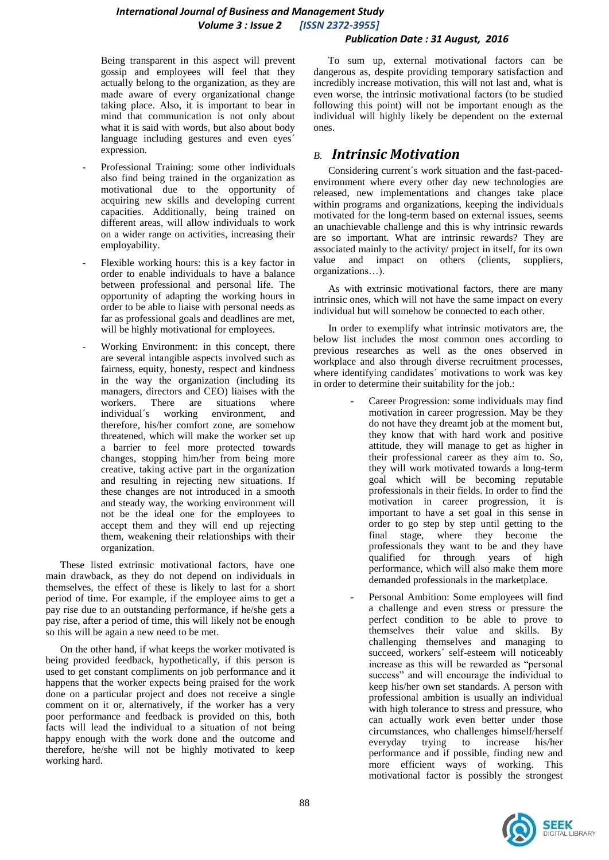#### *Publication Date : 31 August, 2016*

Being transparent in this aspect will prevent gossip and employees will feel that they actually belong to the organization, as they are made aware of every organizational change taking place. Also, it is important to bear in mind that communication is not only about what it is said with words, but also about body language including gestures and even eyes´ expression.

- Professional Training: some other individuals also find being trained in the organization as motivational due to the opportunity of acquiring new skills and developing current capacities. Additionally, being trained on different areas, will allow individuals to work on a wider range on activities, increasing their employability.
- Flexible working hours: this is a key factor in order to enable individuals to have a balance between professional and personal life. The opportunity of adapting the working hours in order to be able to liaise with personal needs as far as professional goals and deadlines are met, will be highly motivational for employees.
- Working Environment: in this concept, there are several intangible aspects involved such as fairness, equity, honesty, respect and kindness in the way the organization (including its managers, directors and CEO) liaises with the<br>workers. There are situations where workers. There are situations where individual´s working environment, and therefore, his/her comfort zone, are somehow threatened, which will make the worker set up a barrier to feel more protected towards changes, stopping him/her from being more creative, taking active part in the organization and resulting in rejecting new situations. If these changes are not introduced in a smooth and steady way, the working environment will not be the ideal one for the employees to accept them and they will end up rejecting them, weakening their relationships with their organization.

These listed extrinsic motivational factors, have one main drawback, as they do not depend on individuals in themselves, the effect of these is likely to last for a short period of time. For example, if the employee aims to get a pay rise due to an outstanding performance, if he/she gets a pay rise, after a period of time, this will likely not be enough so this will be again a new need to be met.

On the other hand, if what keeps the worker motivated is being provided feedback, hypothetically, if this person is used to get constant compliments on job performance and it happens that the worker expects being praised for the work done on a particular project and does not receive a single comment on it or, alternatively, if the worker has a very poor performance and feedback is provided on this, both facts will lead the individual to a situation of not being happy enough with the work done and the outcome and therefore, he/she will not be highly motivated to keep working hard.

To sum up, external motivational factors can be dangerous as, despite providing temporary satisfaction and incredibly increase motivation, this will not last and, what is even worse, the intrinsic motivational factors (to be studied following this point) will not be important enough as the individual will highly likely be dependent on the external ones.

### *B. Intrinsic Motivation*

Considering current´s work situation and the fast-pacedenvironment where every other day new technologies are released, new implementations and changes take place within programs and organizations, keeping the individuals motivated for the long-term based on external issues, seems an unachievable challenge and this is why intrinsic rewards are so important. What are intrinsic rewards? They are associated mainly to the activity/ project in itself, for its own value and impact on others (clients, suppliers, organizations…).

As with extrinsic motivational factors, there are many intrinsic ones, which will not have the same impact on every individual but will somehow be connected to each other.

In order to exemplify what intrinsic motivators are, the below list includes the most common ones according to previous researches as well as the ones observed in workplace and also through diverse recruitment processes, where identifying candidates´ motivations to work was key in order to determine their suitability for the job.:

- Career Progression: some individuals may find motivation in career progression. May be they do not have they dreamt job at the moment but, they know that with hard work and positive attitude, they will manage to get as higher in their professional career as they aim to. So, they will work motivated towards a long-term goal which will be becoming reputable professionals in their fields. In order to find the motivation in career progression, it is important to have a set goal in this sense in order to go step by step until getting to the final stage, where they become the professionals they want to be and they have qualified for through years of high performance, which will also make them more demanded professionals in the marketplace.
- Personal Ambition: Some employees will find a challenge and even stress or pressure the perfect condition to be able to prove to themselves their value and skills. By challenging themselves and managing to succeed, workers´ self-esteem will noticeably increase as this will be rewarded as "personal success" and will encourage the individual to keep his/her own set standards. A person with professional ambition is usually an individual with high tolerance to stress and pressure, who can actually work even better under those circumstances, who challenges himself/herself everyday trying to increase his/her performance and if possible, finding new and more efficient ways of working. This motivational factor is possibly the strongest

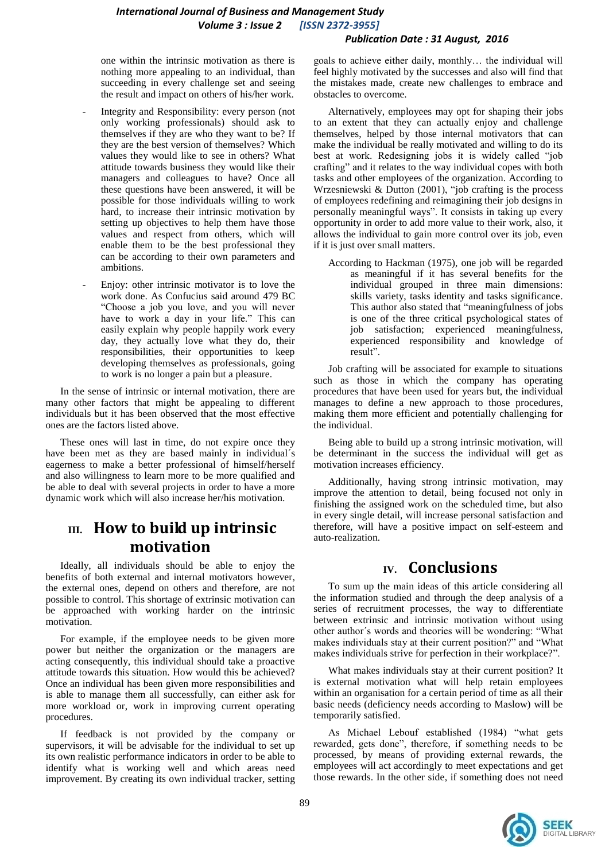#### *Publication Date : 31 August, 2016*

one within the intrinsic motivation as there is nothing more appealing to an individual, than succeeding in every challenge set and seeing the result and impact on others of his/her work.

- Integrity and Responsibility: every person (not only working professionals) should ask to themselves if they are who they want to be? If they are the best version of themselves? Which values they would like to see in others? What attitude towards business they would like their managers and colleagues to have? Once all these questions have been answered, it will be possible for those individuals willing to work hard, to increase their intrinsic motivation by setting up objectives to help them have those values and respect from others, which will enable them to be the best professional they can be according to their own parameters and ambitions.
- Enjoy: other intrinsic motivator is to love the work done. As Confucius said around 479 BC "Choose a job you love, and you will never have to work a day in your life." This can easily explain why people happily work every day, they actually love what they do, their responsibilities, their opportunities to keep developing themselves as professionals, going to work is no longer a pain but a pleasure.

In the sense of intrinsic or internal motivation, there are many other factors that might be appealing to different individuals but it has been observed that the most effective ones are the factors listed above.

These ones will last in time, do not expire once they have been met as they are based mainly in individual's eagerness to make a better professional of himself/herself and also willingness to learn more to be more qualified and be able to deal with several projects in order to have a more dynamic work which will also increase her/his motivation.

# **III. How to build up intrinsic motivation**

Ideally, all individuals should be able to enjoy the benefits of both external and internal motivators however, the external ones, depend on others and therefore, are not possible to control. This shortage of extrinsic motivation can be approached with working harder on the intrinsic motivation.

For example, if the employee needs to be given more power but neither the organization or the managers are acting consequently, this individual should take a proactive attitude towards this situation. How would this be achieved? Once an individual has been given more responsibilities and is able to manage them all successfully, can either ask for more workload or, work in improving current operating procedures.

If feedback is not provided by the company or supervisors, it will be advisable for the individual to set up its own realistic performance indicators in order to be able to identify what is working well and which areas need improvement. By creating its own individual tracker, setting goals to achieve either daily, monthly… the individual will feel highly motivated by the successes and also will find that the mistakes made, create new challenges to embrace and obstacles to overcome.

Alternatively, employees may opt for shaping their jobs to an extent that they can actually enjoy and challenge themselves, helped by those internal motivators that can make the individual be really motivated and willing to do its best at work. Redesigning jobs it is widely called "job crafting" and it relates to the way individual copes with both tasks and other employees of the organization. According to Wrzesniewski & Dutton (2001), "job crafting is the process of employees redefining and reimagining their job designs in personally meaningful ways". It consists in taking up every opportunity in order to add more value to their work, also, it allows the individual to gain more control over its job, even if it is just over small matters.

According to Hackman (1975), one job will be regarded as meaningful if it has several benefits for the individual grouped in three main dimensions: skills variety, tasks identity and tasks significance. This author also stated that "meaningfulness of jobs is one of the three critical psychological states of job satisfaction; experienced meaningfulness, experienced responsibility and knowledge of result".

Job crafting will be associated for example to situations such as those in which the company has operating procedures that have been used for years but, the individual manages to define a new approach to those procedures, making them more efficient and potentially challenging for the individual.

Being able to build up a strong intrinsic motivation, will be determinant in the success the individual will get as motivation increases efficiency.

Additionally, having strong intrinsic motivation, may improve the attention to detail, being focused not only in finishing the assigned work on the scheduled time, but also in every single detail, will increase personal satisfaction and therefore, will have a positive impact on self-esteem and auto-realization.

## **IV. Conclusions**

To sum up the main ideas of this article considering all the information studied and through the deep analysis of a series of recruitment processes, the way to differentiate between extrinsic and intrinsic motivation without using other author´s words and theories will be wondering: "What makes individuals stay at their current position?" and "What makes individuals strive for perfection in their workplace?".

What makes individuals stay at their current position? It is external motivation what will help retain employees within an organisation for a certain period of time as all their basic needs (deficiency needs according to Maslow) will be temporarily satisfied.

As Michael Lebouf established (1984) "what gets rewarded, gets done", therefore, if something needs to be processed, by means of providing external rewards, the employees will act accordingly to meet expectations and get those rewards. In the other side, if something does not need